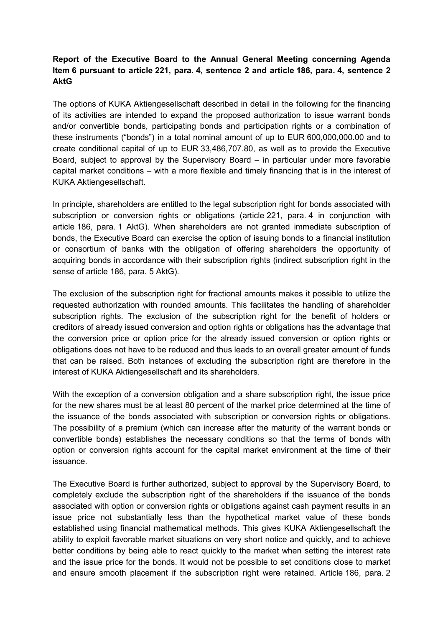## **Report of the Executive Board to the Annual General Meeting concerning Agenda Item 6 pursuant to article 221, para. 4, sentence 2 and article 186, para. 4, sentence 2 AktG**

The options of KUKA Aktiengesellschaft described in detail in the following for the financing of its activities are intended to expand the proposed authorization to issue warrant bonds and/or convertible bonds, participating bonds and participation rights or a combination of these instruments ("bonds") in a total nominal amount of up to EUR 600,000,000.00 and to create conditional capital of up to EUR 33,486,707.80, as well as to provide the Executive Board, subject to approval by the Supervisory Board – in particular under more favorable capital market conditions – with a more flexible and timely financing that is in the interest of KUKA Aktiengesellschaft.

In principle, shareholders are entitled to the legal subscription right for bonds associated with subscription or conversion rights or obligations (article 221, para. 4 in conjunction with article 186, para. 1 AktG). When shareholders are not granted immediate subscription of bonds, the Executive Board can exercise the option of issuing bonds to a financial institution or consortium of banks with the obligation of offering shareholders the opportunity of acquiring bonds in accordance with their subscription rights (indirect subscription right in the sense of article 186, para. 5 AktG).

The exclusion of the subscription right for fractional amounts makes it possible to utilize the requested authorization with rounded amounts. This facilitates the handling of shareholder subscription rights. The exclusion of the subscription right for the benefit of holders or creditors of already issued conversion and option rights or obligations has the advantage that the conversion price or option price for the already issued conversion or option rights or obligations does not have to be reduced and thus leads to an overall greater amount of funds that can be raised. Both instances of excluding the subscription right are therefore in the interest of KUKA Aktiengesellschaft and its shareholders.

With the exception of a conversion obligation and a share subscription right, the issue price for the new shares must be at least 80 percent of the market price determined at the time of the issuance of the bonds associated with subscription or conversion rights or obligations. The possibility of a premium (which can increase after the maturity of the warrant bonds or convertible bonds) establishes the necessary conditions so that the terms of bonds with option or conversion rights account for the capital market environment at the time of their issuance.

The Executive Board is further authorized, subject to approval by the Supervisory Board, to completely exclude the subscription right of the shareholders if the issuance of the bonds associated with option or conversion rights or obligations against cash payment results in an issue price not substantially less than the hypothetical market value of these bonds established using financial mathematical methods. This gives KUKA Aktiengesellschaft the ability to exploit favorable market situations on very short notice and quickly, and to achieve better conditions by being able to react quickly to the market when setting the interest rate and the issue price for the bonds. It would not be possible to set conditions close to market and ensure smooth placement if the subscription right were retained. Article 186, para. 2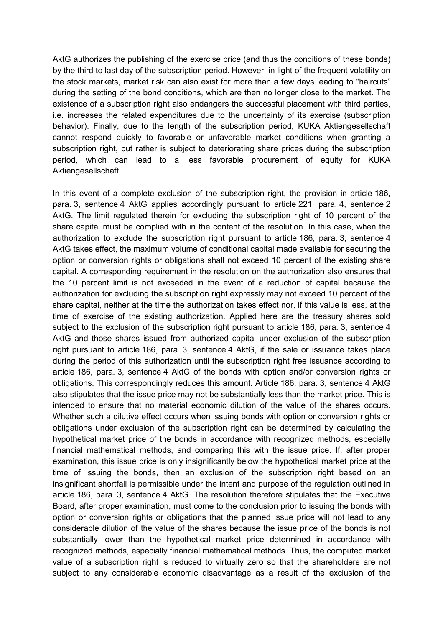AktG authorizes the publishing of the exercise price (and thus the conditions of these bonds) by the third to last day of the subscription period. However, in light of the frequent volatility on the stock markets, market risk can also exist for more than a few days leading to "haircuts" during the setting of the bond conditions, which are then no longer close to the market. The existence of a subscription right also endangers the successful placement with third parties, i.e. increases the related expenditures due to the uncertainty of its exercise (subscription behavior). Finally, due to the length of the subscription period, KUKA Aktiengesellschaft cannot respond quickly to favorable or unfavorable market conditions when granting a subscription right, but rather is subject to deteriorating share prices during the subscription period, which can lead to a less favorable procurement of equity for KUKA Aktiengesellschaft.

In this event of a complete exclusion of the subscription right, the provision in article 186, para. 3, sentence 4 AktG applies accordingly pursuant to article 221, para. 4, sentence 2 AktG. The limit regulated therein for excluding the subscription right of 10 percent of the share capital must be complied with in the content of the resolution. In this case, when the authorization to exclude the subscription right pursuant to article 186, para. 3, sentence 4 AktG takes effect, the maximum volume of conditional capital made available for securing the option or conversion rights or obligations shall not exceed 10 percent of the existing share capital. A corresponding requirement in the resolution on the authorization also ensures that the 10 percent limit is not exceeded in the event of a reduction of capital because the authorization for excluding the subscription right expressly may not exceed 10 percent of the share capital, neither at the time the authorization takes effect nor, if this value is less, at the time of exercise of the existing authorization. Applied here are the treasury shares sold subject to the exclusion of the subscription right pursuant to article 186, para. 3, sentence 4 AktG and those shares issued from authorized capital under exclusion of the subscription right pursuant to article 186, para. 3, sentence 4 AktG, if the sale or issuance takes place during the period of this authorization until the subscription right free issuance according to article 186, para. 3, sentence 4 AktG of the bonds with option and/or conversion rights or obligations. This correspondingly reduces this amount. Article 186, para. 3, sentence 4 AktG also stipulates that the issue price may not be substantially less than the market price. This is intended to ensure that no material economic dilution of the value of the shares occurs. Whether such a dilutive effect occurs when issuing bonds with option or conversion rights or obligations under exclusion of the subscription right can be determined by calculating the hypothetical market price of the bonds in accordance with recognized methods, especially financial mathematical methods, and comparing this with the issue price. If, after proper examination, this issue price is only insignificantly below the hypothetical market price at the time of issuing the bonds, then an exclusion of the subscription right based on an insignificant shortfall is permissible under the intent and purpose of the regulation outlined in article 186, para. 3, sentence 4 AktG. The resolution therefore stipulates that the Executive Board, after proper examination, must come to the conclusion prior to issuing the bonds with option or conversion rights or obligations that the planned issue price will not lead to any considerable dilution of the value of the shares because the issue price of the bonds is not substantially lower than the hypothetical market price determined in accordance with recognized methods, especially financial mathematical methods. Thus, the computed market value of a subscription right is reduced to virtually zero so that the shareholders are not subject to any considerable economic disadvantage as a result of the exclusion of the